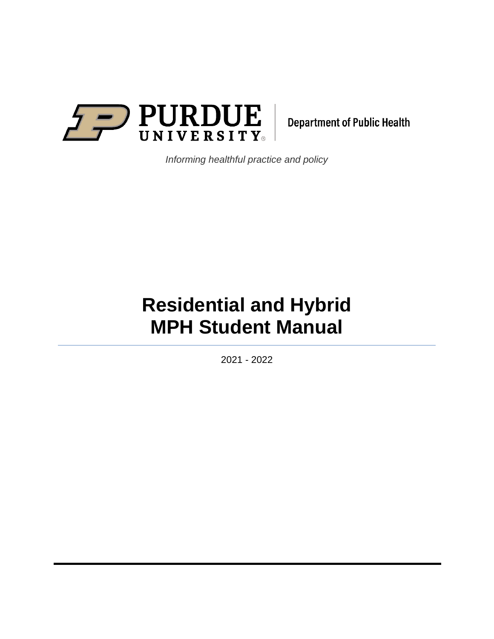

**Department of Public Health** 

*Informing healthful practice and policy*

# **Residential and Hybrid MPH Student Manual**

2021 - 2022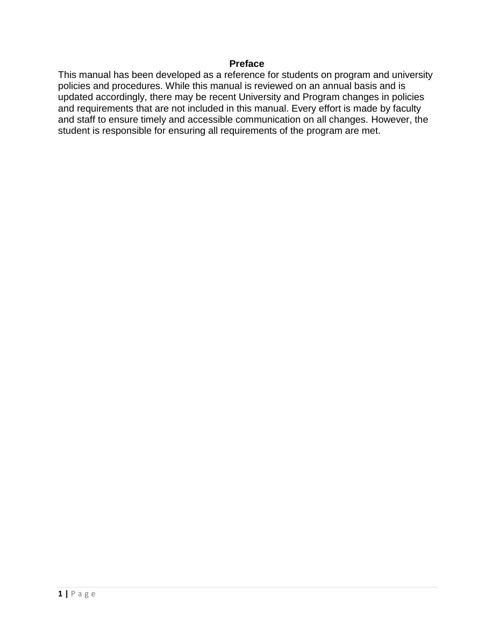## **Preface**

This manual has been developed as a reference for students on program and university policies and procedures. While this manual is reviewed on an annual basis and is updated accordingly, there may be recent University and Program changes in policies and requirements that are not included in this manual. Every effort is made by faculty and staff to ensure timely and accessible communication on all changes. However, the student is responsible for ensuring all requirements of the program are met.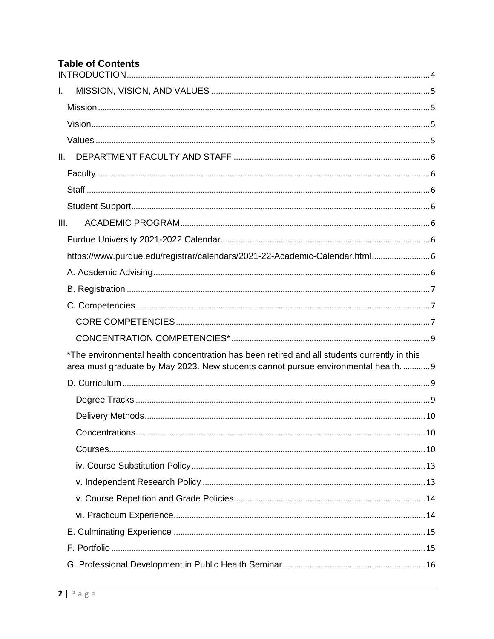# **Table of Contents**

| I.   |                                                                                             |  |
|------|---------------------------------------------------------------------------------------------|--|
|      |                                                                                             |  |
|      |                                                                                             |  |
|      |                                                                                             |  |
| II.  |                                                                                             |  |
|      |                                                                                             |  |
|      |                                                                                             |  |
|      |                                                                                             |  |
| III. |                                                                                             |  |
|      |                                                                                             |  |
|      | https://www.purdue.edu/registrar/calendars/2021-22-Academic-Calendar.html 6                 |  |
|      |                                                                                             |  |
|      |                                                                                             |  |
|      |                                                                                             |  |
|      |                                                                                             |  |
|      |                                                                                             |  |
|      | *The environmental health concentration has been retired and all students currently in this |  |
|      | area must graduate by May 2023. New students cannot pursue environmental health 9           |  |
|      |                                                                                             |  |
|      |                                                                                             |  |
|      |                                                                                             |  |
|      |                                                                                             |  |
|      |                                                                                             |  |
|      |                                                                                             |  |
|      |                                                                                             |  |
|      |                                                                                             |  |
|      |                                                                                             |  |
|      |                                                                                             |  |
|      |                                                                                             |  |
|      |                                                                                             |  |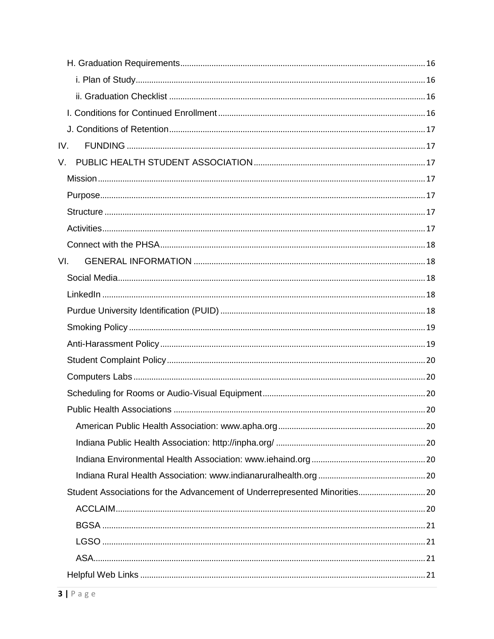| IV.                                                                        |
|----------------------------------------------------------------------------|
| V.                                                                         |
|                                                                            |
|                                                                            |
|                                                                            |
|                                                                            |
|                                                                            |
| VI.                                                                        |
|                                                                            |
|                                                                            |
|                                                                            |
|                                                                            |
|                                                                            |
|                                                                            |
|                                                                            |
|                                                                            |
|                                                                            |
|                                                                            |
|                                                                            |
|                                                                            |
|                                                                            |
| Student Associations for the Advancement of Underrepresented Minorities 20 |
|                                                                            |
|                                                                            |
|                                                                            |
|                                                                            |
|                                                                            |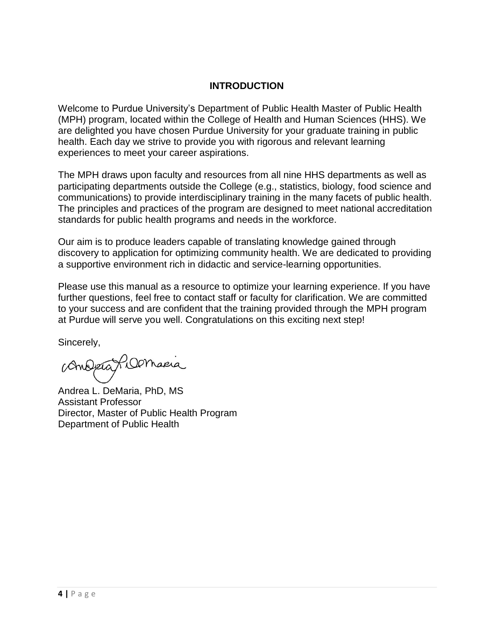# **INTRODUCTION**

<span id="page-4-0"></span>Welcome to Purdue University's Department of Public Health Master of Public Health (MPH) program, located within the College of Health and Human Sciences (HHS). We are delighted you have chosen Purdue University for your graduate training in public health. Each day we strive to provide you with rigorous and relevant learning experiences to meet your career aspirations.

The MPH draws upon faculty and resources from all nine HHS departments as well as participating departments outside the College (e.g., statistics, biology, food science and communications) to provide interdisciplinary training in the many facets of public health. The principles and practices of the program are designed to meet national accreditation standards for public health programs and needs in the workforce.

Our aim is to produce leaders capable of translating knowledge gained through discovery to application for optimizing community health. We are dedicated to providing a supportive environment rich in didactic and service-learning opportunities.

Please use this manual as a resource to optimize your learning experience. If you have further questions, feel free to contact staff or faculty for clarification. We are committed to your success and are confident that the training provided through the MPH program at Purdue will serve you well. Congratulations on this exciting next step!

Sincerely,

Andréa Filomacia

Andrea L. DeMaria, PhD, MS Assistant Professor Director, Master of Public Health Program Department of Public Health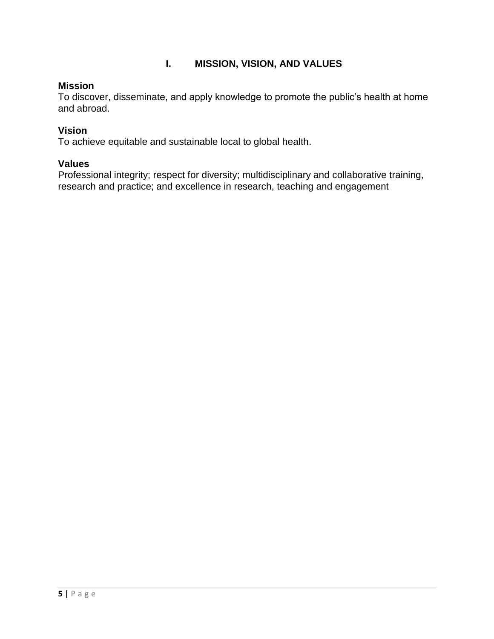# **I. MISSION, VISION, AND VALUES**

## <span id="page-5-1"></span><span id="page-5-0"></span>**Mission**

To discover, disseminate, and apply knowledge to promote the public's health at home and abroad.

## <span id="page-5-2"></span>**Vision**

To achieve equitable and sustainable local to global health.

## <span id="page-5-3"></span>**Values**

Professional integrity; respect for diversity; multidisciplinary and collaborative training, research and practice; and excellence in research, teaching and engagement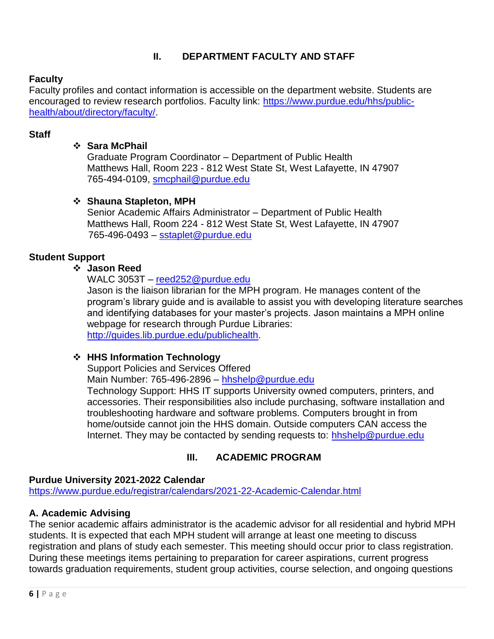# **II. DEPARTMENT FACULTY AND STAFF**

# <span id="page-6-1"></span><span id="page-6-0"></span>**Faculty**

Faculty profiles and contact information is accessible on the department website. Students are encouraged to review research portfolios. Faculty link: [https://www.purdue.edu/hhs/public](https://www.purdue.edu/hhs/public-health/about/directory/faculty/)[health/about/directory/faculty/.](https://www.purdue.edu/hhs/public-health/about/directory/faculty/)

# <span id="page-6-2"></span>**Staff**

## **Sara McPhail**

Graduate Program Coordinator – Department of Public Health Matthews Hall, Room 223 - 812 West State St, West Lafayette, IN 47907 765-494-0109, [smcphail@purdue.edu](mailto:smcphail@purdue.edu)

## **Shauna Stapleton, MPH**

Senior Academic Affairs Administrator – Department of Public Health Matthews Hall, Room 224 - 812 West State St, West Lafayette, IN 47907 765-496-0493 – [sstaplet@purdue.edu](mailto:sstaplet@purdue.edu)

## <span id="page-6-3"></span>**Student Support**

## **Jason Reed**

WALC 3053T – [reed252@purdue.edu](mailto:reed252@purdue.edu)

Jason is the liaison librarian for the MPH program. He manages content of the program's library guide and is available to assist you with developing literature searches and identifying databases for your master's projects. Jason maintains a MPH online webpage for research through Purdue Libraries: [http://guides.lib.purdue.edu/publichealth.](http://guides.lib.purdue.edu/publichealth)

## **HHS Information Technology**

Support Policies and Services Offered

Main Number: 765-496-2896 – [hhshelp@purdue.edu](mailto:hhshelp@purdue.edu)

Technology Support: HHS IT supports University owned computers, printers, and accessories. Their responsibilities also include purchasing, software installation and troubleshooting hardware and software problems. Computers brought in from home/outside cannot join the HHS domain. Outside computers CAN access the Internet. They may be contacted by sending requests to: [hhshelp@purdue.edu](mailto:hhshelp@purdue.edu)

## **III. ACADEMIC PROGRAM**

#### <span id="page-6-5"></span><span id="page-6-4"></span>**Purdue University 2021-2022 Calendar**

<span id="page-6-6"></span><https://www.purdue.edu/registrar/calendars/2021-22-Academic-Calendar.html>

## <span id="page-6-7"></span>**A. Academic Advising**

The senior academic affairs administrator is the academic advisor for all residential and hybrid MPH students. It is expected that each MPH student will arrange at least one meeting to discuss registration and plans of study each semester. This meeting should occur prior to class registration. During these meetings items pertaining to preparation for career aspirations, current progress towards graduation requirements, student group activities, course selection, and ongoing questions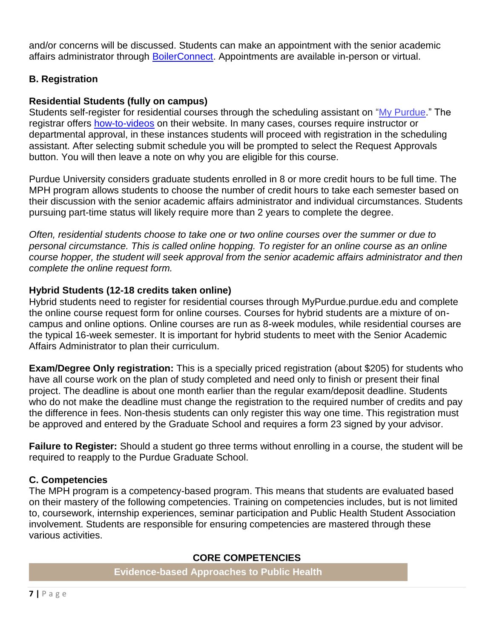and/or concerns will be discussed. Students can make an appointment with the senior academic affairs administrator through [BoilerConnect.](https://www.purdue.edu/apps/account/cas/login?service=https%3A%2F%2Fwww.purdue.edu%2Fapps%2Fidphs%2FAuthn%2FExtCas%3Fconversation%3De1s1&renew=true&entityId=https%3A%2F%2Fshibboleth.gradesfirst.com%2FShibboleth.sso) Appointments are available in-person or virtual.

# <span id="page-7-0"></span>**B. Registration**

# **Residential Students (fully on campus)**

Students self-register for residential courses through the scheduling assistant on ["My Purdue.](https://wl.mypurdue.purdue.edu/)" The registrar offers [how-to-videos](https://www.purdue.edu/registrar/currentStudents/index.html) on their website. In many cases, courses require instructor or departmental approval, in these instances students will proceed with registration in the scheduling assistant. After selecting submit schedule you will be prompted to select the Request Approvals button. You will then leave a note on why you are eligible for this course.

Purdue University considers graduate students enrolled in 8 or more credit hours to be full time. The MPH program allows students to choose the number of credit hours to take each semester based on their discussion with the senior academic affairs administrator and individual circumstances. Students pursuing part-time status will likely require more than 2 years to complete the degree.

*Often, residential students choose to take one or two online courses over the summer or due to personal circumstance. This is called online hopping. To register for an online course as an online course hopper, the student will seek approval from the senior academic affairs administrator and then complete the online request form.* 

## **Hybrid Students (12-18 credits taken online)**

Hybrid students need to register for residential courses through MyPurdue.purdue.edu and complete the online course request form for online courses. Courses for hybrid students are a mixture of oncampus and online options. Online courses are run as 8-week modules, while residential courses are the typical 16-week semester. It is important for hybrid students to meet with the Senior Academic Affairs Administrator to plan their curriculum.

**Exam/Degree Only registration:** This is a specially priced registration (about \$205) for students who have all course work on the plan of study completed and need only to finish or present their final project. The deadline is about one month earlier than the regular exam/deposit deadline. Students who do not make the deadline must change the registration to the required number of credits and pay the difference in fees. Non-thesis students can only register this way one time. This registration must be approved and entered by the Graduate School and requires a form 23 signed by your advisor.

**Failure to Register:** Should a student go three terms without enrolling in a course, the student will be required to reapply to the Purdue Graduate School.

# <span id="page-7-1"></span>**C. Competencies**

<span id="page-7-2"></span>The MPH program is a competency-based program. This means that students are evaluated based on their mastery of the following competencies. Training on competencies includes, but is not limited to, coursework, internship experiences, seminar participation and Public Health Student Association involvement. Students are responsible for ensuring competencies are mastered through these various activities.

# **CORE COMPETENCIES**

**Evidence-based Approaches to Public Health**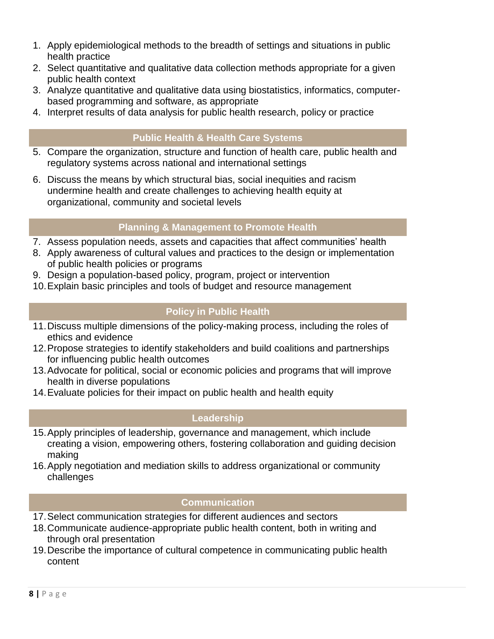- 1. Apply epidemiological methods to the breadth of settings and situations in public health practice
- 2. Select quantitative and qualitative data collection methods appropriate for a given public health context
- 3. Analyze quantitative and qualitative data using biostatistics, informatics, computerbased programming and software, as appropriate
- 4. Interpret results of data analysis for public health research, policy or practice

# **Public Health & Health Care Systems**

- 5. Compare the organization, structure and function of health care, public health and regulatory systems across national and international settings
- 6. Discuss the means by which structural bias, social inequities and racism undermine health and create challenges to achieving health equity at organizational, community and societal levels

# **Planning & Management to Promote Health**

- 7. Assess population needs, assets and capacities that affect communities' health
- 8. Apply awareness of cultural values and practices to the design or implementation of public health policies or programs
- 9. Design a population-based policy, program, project or intervention
- 10.Explain basic principles and tools of budget and resource management

# **Policy in Public Health**

- 11.Discuss multiple dimensions of the policy-making process, including the roles of ethics and evidence
- 12.Propose strategies to identify stakeholders and build coalitions and partnerships for influencing public health outcomes
- 13.Advocate for political, social or economic policies and programs that will improve health in diverse populations
- 14.Evaluate policies for their impact on public health and health equity

# **Leadership**

- 15.Apply principles of leadership, governance and management, which include creating a vision, empowering others, fostering collaboration and guiding decision making
- 16.Apply negotiation and mediation skills to address organizational or community challenges

# **Communication**

- 17.Select communication strategies for different audiences and sectors
- 18.Communicate audience-appropriate public health content, both in writing and through oral presentation
- 19.Describe the importance of cultural competence in communicating public health content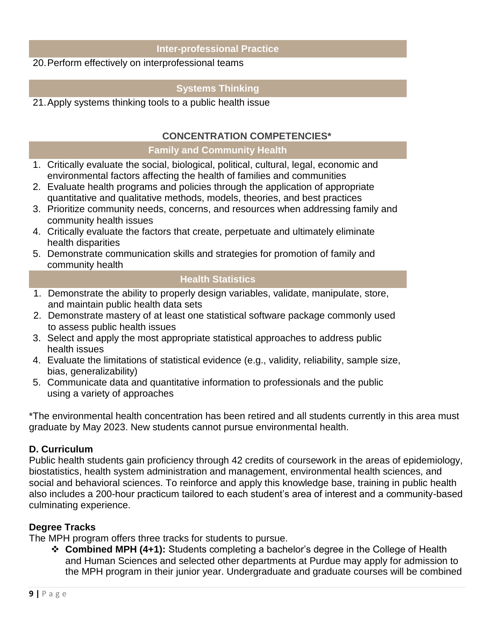# **Inter-professional Practice**

## 20.Perform effectively on interprofessional teams

# **Systems Thinking**

21.Apply systems thinking tools to a public health issue

## **CONCENTRATION COMPETENCIES\***

#### **Family and Community Health**

- <span id="page-9-0"></span>1. Critically evaluate the social, biological, political, cultural, legal, economic and environmental factors affecting the health of families and communities
- 2. Evaluate health programs and policies through the application of appropriate quantitative and qualitative methods, models, theories, and best practices
- 3. Prioritize community needs, concerns, and resources when addressing family and community health issues
- 4. Critically evaluate the factors that create, perpetuate and ultimately eliminate health disparities
- 5. Demonstrate communication skills and strategies for promotion of family and community health

## **Health Statistics**

- 1. Demonstrate the ability to properly design variables, validate, manipulate, store, and maintain public health data sets
- 2. Demonstrate mastery of at least one statistical software package commonly used to assess public health issues
- 3. Select and apply the most appropriate statistical approaches to address public health issues
- 4. Evaluate the limitations of statistical evidence (e.g., validity, reliability, sample size, bias, generalizability)
- 5. Communicate data and quantitative information to professionals and the public using a variety of approaches

<span id="page-9-1"></span>\*The environmental health concentration has been retired and all students currently in this area must graduate by May 2023. New students cannot pursue environmental health.

## <span id="page-9-2"></span>**D. Curriculum**

Public health students gain proficiency through 42 credits of coursework in the areas of epidemiology, biostatistics, health system administration and management, environmental health sciences, and social and behavioral sciences. To reinforce and apply this knowledge base, training in public health also includes a 200-hour practicum tailored to each student's area of interest and a community-based culminating experience.

## <span id="page-9-3"></span>**Degree Tracks**

The MPH program offers three tracks for students to pursue.

 **Combined MPH (4+1):** Students completing a bachelor's degree in the College of Health and Human Sciences and selected other departments at Purdue may apply for admission to the MPH program in their junior year. Undergraduate and graduate courses will be combined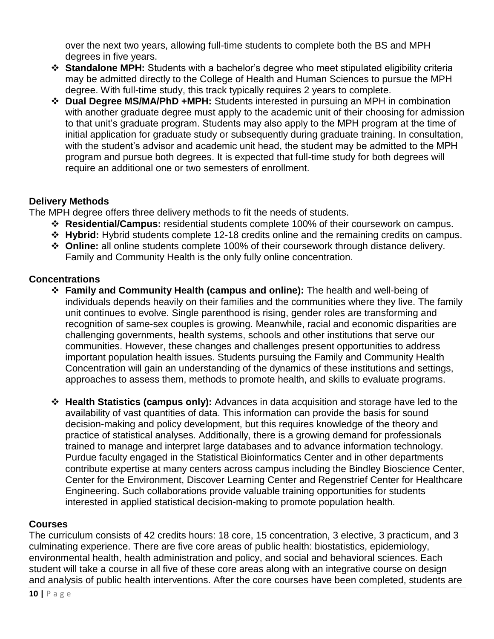over the next two years, allowing full-time students to complete both the BS and MPH degrees in five years.

- **Standalone MPH:** Students with a bachelor's degree who meet stipulated eligibility criteria may be admitted directly to the College of Health and Human Sciences to pursue the MPH degree. With full-time study, this track typically requires 2 years to complete.
- **Dual Degree MS/MA/PhD +MPH:** Students interested in pursuing an MPH in combination with another graduate degree must apply to the academic unit of their choosing for admission to that unit's graduate program. Students may also apply to the MPH program at the time of initial application for graduate study or subsequently during graduate training. In consultation, with the student's advisor and academic unit head, the student may be admitted to the MPH program and pursue both degrees. It is expected that full-time study for both degrees will require an additional one or two semesters of enrollment.

# <span id="page-10-0"></span>**Delivery Methods**

The MPH degree offers three delivery methods to fit the needs of students.

- **Residential/Campus:** residential students complete 100% of their coursework on campus.
- **Hybrid:** Hybrid students complete 12-18 credits online and the remaining credits on campus.
- **Online:** all online students complete 100% of their coursework through distance delivery. Family and Community Health is the only fully online concentration.

# <span id="page-10-1"></span>**Concentrations**

- **Family and Community Health (campus and online):** The health and well-being of individuals depends heavily on their families and the communities where they live. The family unit continues to evolve. Single parenthood is rising, gender roles are transforming and recognition of same-sex couples is growing. Meanwhile, racial and economic disparities are challenging governments, health systems, schools and other institutions that serve our communities. However, these changes and challenges present opportunities to address important population health issues. Students pursuing the Family and Community Health Concentration will gain an understanding of the dynamics of these institutions and settings, approaches to assess them, methods to promote health, and skills to evaluate programs.
- **Health Statistics (campus only):** Advances in data acquisition and storage have led to the availability of vast quantities of data. This information can provide the basis for sound decision-making and policy development, but this requires knowledge of the theory and practice of statistical analyses. Additionally, there is a growing demand for professionals trained to manage and interpret large databases and to advance information technology. Purdue faculty engaged in the Statistical Bioinformatics Center and in other departments contribute expertise at many centers across campus including the Bindley Bioscience Center, Center for the Environment, Discover Learning Center and Regenstrief Center for Healthcare Engineering. Such collaborations provide valuable training opportunities for students interested in applied statistical decision-making to promote population health.

# <span id="page-10-2"></span>**Courses**

The curriculum consists of 42 credits hours: 18 core, 15 concentration, 3 elective, 3 practicum, and 3 culminating experience. There are five core areas of public health: biostatistics, epidemiology, environmental health, health administration and policy, and social and behavioral sciences. Each student will take a course in all five of these core areas along with an integrative course on design and analysis of public health interventions. After the core courses have been completed, students are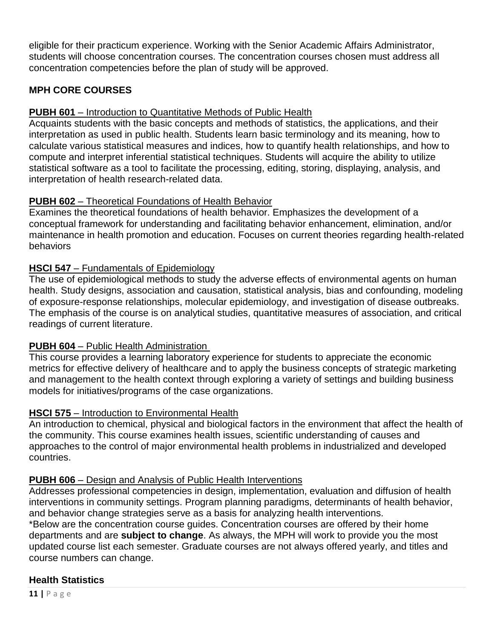eligible for their practicum experience. Working with the Senior Academic Affairs Administrator, students will choose concentration courses. The concentration courses chosen must address all concentration competencies before the plan of study will be approved.

# **MPH CORE COURSES**

# **PUBH 601** – Introduction to Quantitative Methods of Public Health

Acquaints students with the basic concepts and methods of statistics, the applications, and their interpretation as used in public health. Students learn basic terminology and its meaning, how to calculate various statistical measures and indices, how to quantify health relationships, and how to compute and interpret inferential statistical techniques. Students will acquire the ability to utilize statistical software as a tool to facilitate the processing, editing, storing, displaying, analysis, and interpretation of health research-related data.

# **PUBH 602** – Theoretical Foundations of Health Behavior

Examines the theoretical foundations of health behavior. Emphasizes the development of a conceptual framework for understanding and facilitating behavior enhancement, elimination, and/or maintenance in health promotion and education. Focuses on current theories regarding health-related behaviors

# **HSCI 547** – Fundamentals of Epidemiology

The use of epidemiological methods to study the adverse effects of environmental agents on human health. Study designs, association and causation, statistical analysis, bias and confounding, modeling of exposure-response relationships, molecular epidemiology, and investigation of disease outbreaks. The emphasis of the course is on analytical studies, quantitative measures of association, and critical readings of current literature.

# **PUBH 604** – Public Health Administration

This course provides a learning laboratory experience for students to appreciate the economic metrics for effective delivery of healthcare and to apply the business concepts of strategic marketing and management to the health context through exploring a variety of settings and building business models for initiatives/programs of the case organizations.

# **HSCI 575** – Introduction to Environmental Health

An introduction to chemical, physical and biological factors in the environment that affect the health of the community. This course examines health issues, scientific understanding of causes and approaches to the control of major environmental health problems in industrialized and developed countries.

# **PUBH 606** – Design and Analysis of Public Health Interventions

Addresses professional competencies in design, implementation, evaluation and diffusion of health interventions in community settings. Program planning paradigms, determinants of health behavior, and behavior change strategies serve as a basis for analyzing health interventions.

\*Below are the concentration course guides. Concentration courses are offered by their home departments and are **subject to change**. As always, the MPH will work to provide you the most updated course list each semester. Graduate courses are not always offered yearly, and titles and course numbers can change.

# **Health Statistics**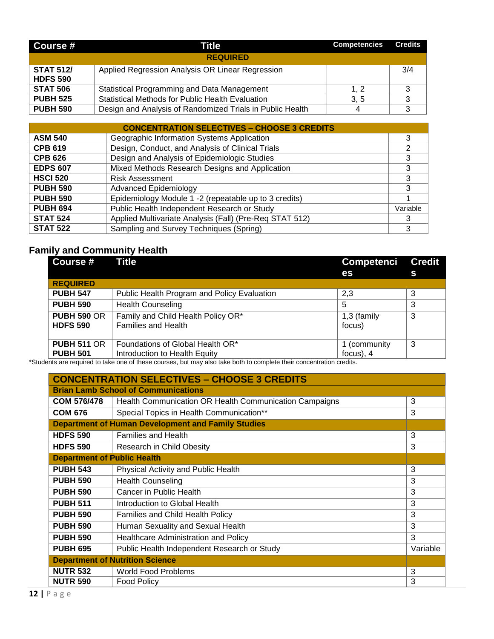| Course #                            | <b>Title</b>                                              | <b>Competencies</b> | <b>Credits</b> |
|-------------------------------------|-----------------------------------------------------------|---------------------|----------------|
|                                     | <b>REQUIRED</b>                                           |                     |                |
| <b>STAT 512/</b><br><b>HDFS 590</b> | Applied Regression Analysis OR Linear Regression          |                     | 3/4            |
| <b>STAT 506</b>                     | Statistical Programming and Data Management               | 1. 2                |                |
| <b>PUBH 525</b>                     | Statistical Methods for Public Health Evaluation          | 3, 5                |                |
| <b>PUBH 590</b>                     | Design and Analysis of Randomized Trials in Public Health | 4                   |                |

| <b>CONCENTRATION SELECTIVES - CHOOSE 3 CREDITS</b> |                                                         |          |
|----------------------------------------------------|---------------------------------------------------------|----------|
| <b>ASM 540</b>                                     | Geographic Information Systems Application              | 3        |
| <b>CPB 619</b>                                     | Design, Conduct, and Analysis of Clinical Trials        | າ        |
| <b>CPB 626</b>                                     | Design and Analysis of Epidemiologic Studies            | 3        |
| <b>EDPS 607</b>                                    | Mixed Methods Research Designs and Application          | 3        |
| <b>HSCI 520</b>                                    | <b>Risk Assessment</b>                                  | 3        |
| <b>PUBH 590</b>                                    | <b>Advanced Epidemiology</b>                            | 3        |
| <b>PUBH 590</b>                                    | Epidemiology Module 1 -2 (repeatable up to 3 credits)   |          |
| <b>PUBH 694</b>                                    | Public Health Independent Research or Study             | Variable |
| <b>STAT 524</b>                                    | Applied Multivariate Analysis (Fall) (Pre-Req STAT 512) | 3        |
| <b>STAT 522</b>                                    | Sampling and Survey Techniques (Spring)                 | 3        |

# **Family and Community Health**

| Course #           | <b>Title</b>                                | <b>Competenci</b> | <b>Credit</b> |
|--------------------|---------------------------------------------|-------------------|---------------|
|                    |                                             | es                | S             |
| <b>REQUIRED</b>    |                                             |                   |               |
| <b>PUBH 547</b>    | Public Health Program and Policy Evaluation | 2,3               | 3             |
| <b>PUBH 590</b>    | <b>Health Counseling</b>                    | 5                 | 3             |
| <b>PUBH 590 OR</b> | Family and Child Health Policy OR*          | 1,3 (family       | 3             |
| <b>HDFS 590</b>    | <b>Families and Health</b>                  | focus)            |               |
|                    |                                             |                   |               |
| <b>PUBH 511 OR</b> | Foundations of Global Health OR*            | 1 (community      | -3            |
| <b>PUBH 501</b>    | Introduction to Health Equity               | focus), 4         |               |

\*Students are required to take one of these courses, but may also take both to complete their concentration credits.

| <b>CONCENTRATION SELECTIVES - CHOOSE 3 CREDITS</b> |                                                           |          |
|----------------------------------------------------|-----------------------------------------------------------|----------|
| <b>Brian Lamb School of Communications</b>         |                                                           |          |
| <b>COM 576/478</b>                                 | Health Communication OR Health Communication Campaigns    | 3        |
| <b>COM 676</b>                                     | Special Topics in Health Communication**                  | 3        |
|                                                    | <b>Department of Human Development and Family Studies</b> |          |
| <b>HDFS 590</b>                                    | <b>Families and Health</b>                                | 3        |
| <b>HDFS 590</b>                                    | Research in Child Obesity                                 | 3        |
| <b>Department of Public Health</b>                 |                                                           |          |
| <b>PUBH 543</b>                                    | <b>Physical Activity and Public Health</b>                | 3        |
| <b>PUBH 590</b>                                    | <b>Health Counseling</b>                                  | 3        |
| <b>PUBH 590</b>                                    | Cancer in Public Health                                   | 3        |
| <b>PUBH 511</b>                                    | Introduction to Global Health                             | 3        |
| <b>PUBH 590</b>                                    | Families and Child Health Policy                          | 3        |
| <b>PUBH 590</b>                                    | Human Sexuality and Sexual Health                         | 3        |
| <b>PUBH 590</b>                                    | Healthcare Administration and Policy                      | 3        |
| <b>PUBH 695</b>                                    | Public Health Independent Research or Study               | Variable |
|                                                    | <b>Department of Nutrition Science</b>                    |          |
| <b>NUTR 532</b>                                    | <b>World Food Problems</b>                                | 3        |
| <b>NUTR 590</b>                                    | <b>Food Policy</b>                                        | 3        |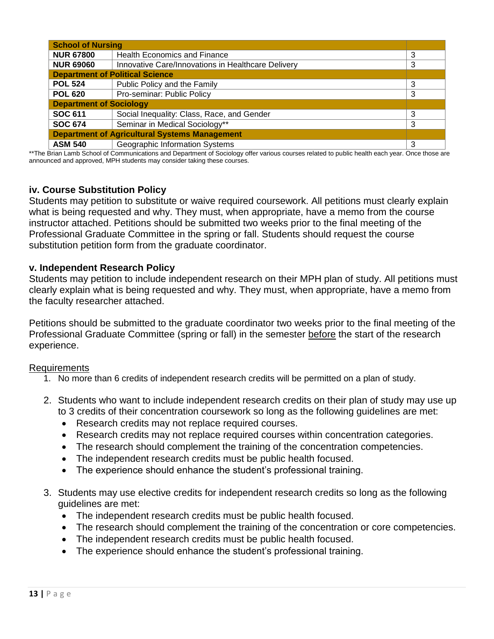| <b>School of Nursing</b>                             |                                                    |   |
|------------------------------------------------------|----------------------------------------------------|---|
| <b>NUR 67800</b>                                     | <b>Health Economics and Finance</b>                | 3 |
| <b>NUR 69060</b>                                     | Innovative Care/Innovations in Healthcare Delivery | 3 |
|                                                      | <b>Department of Political Science</b>             |   |
| <b>POL 524</b>                                       | Public Policy and the Family                       | 3 |
| <b>POL 620</b>                                       | Pro-seminar: Public Policy                         | 3 |
| <b>Department of Sociology</b>                       |                                                    |   |
| <b>SOC 611</b>                                       | Social Inequality: Class, Race, and Gender         | 3 |
| <b>SOC 674</b>                                       | Seminar in Medical Sociology**                     | 3 |
| <b>Department of Agricultural Systems Management</b> |                                                    |   |
| <b>ASM 540</b>                                       | <b>Geographic Information Systems</b>              | 3 |

\*\*The Brian Lamb School of Communications and Department of Sociology offer various courses related to public health each year. Once those are announced and approved, MPH students may consider taking these courses.

## <span id="page-13-0"></span>**iv. Course Substitution Policy**

Students may petition to substitute or waive required coursework. All petitions must clearly explain what is being requested and why. They must, when appropriate, have a memo from the course instructor attached. Petitions should be submitted two weeks prior to the final meeting of the Professional Graduate Committee in the spring or fall. Students should request the course substitution petition form from the graduate coordinator.

#### <span id="page-13-1"></span>**v. Independent Research Policy**

Students may petition to include independent research on their MPH plan of study. All petitions must clearly explain what is being requested and why. They must, when appropriate, have a memo from the faculty researcher attached.

Petitions should be submitted to the graduate coordinator two weeks prior to the final meeting of the Professional Graduate Committee (spring or fall) in the semester before the start of the research experience.

#### Requirements

- 1. No more than 6 credits of independent research credits will be permitted on a plan of study.
- 2. Students who want to include independent research credits on their plan of study may use up to 3 credits of their concentration coursework so long as the following guidelines are met:
	- Research credits may not replace required courses.
	- Research credits may not replace required courses within concentration categories.
	- The research should complement the training of the concentration competencies.
	- The independent research credits must be public health focused.
	- The experience should enhance the student's professional training.
- 3. Students may use elective credits for independent research credits so long as the following guidelines are met:
	- The independent research credits must be public health focused.
	- The research should complement the training of the concentration or core competencies.
	- The independent research credits must be public health focused.
	- The experience should enhance the student's professional training.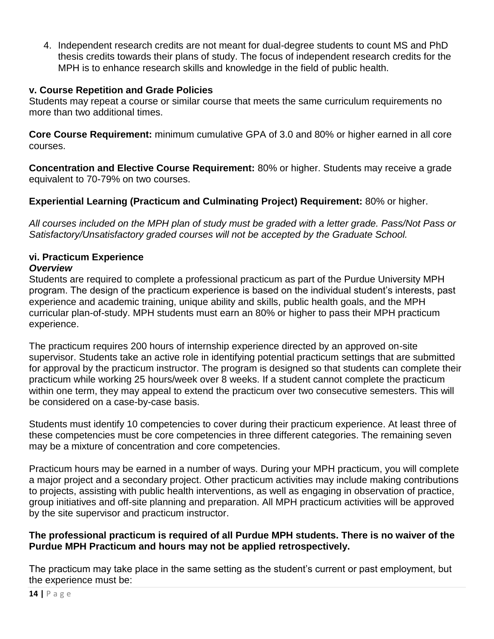4. Independent research credits are not meant for dual-degree students to count MS and PhD thesis credits towards their plans of study. The focus of independent research credits for the MPH is to enhance research skills and knowledge in the field of public health.

# <span id="page-14-0"></span>**v. Course Repetition and Grade Policies**

Students may repeat a course or similar course that meets the same curriculum requirements no more than two additional times.

**Core Course Requirement:** minimum cumulative GPA of 3.0 and 80% or higher earned in all core courses.

**Concentration and Elective Course Requirement:** 80% or higher. Students may receive a grade equivalent to 70-79% on two courses.

# **Experiential Learning (Practicum and Culminating Project) Requirement:** 80% or higher.

*All courses included on the MPH plan of study must be graded with a letter grade. Pass/Not Pass or Satisfactory/Unsatisfactory graded courses will not be accepted by the Graduate School.* 

# <span id="page-14-1"></span>**vi. Practicum Experience**

## *Overview*

Students are required to complete a professional practicum as part of the Purdue University MPH program. The design of the practicum experience is based on the individual student's interests, past experience and academic training, unique ability and skills, public health goals, and the MPH curricular plan-of-study. MPH students must earn an 80% or higher to pass their MPH practicum experience.

The practicum requires 200 hours of internship experience directed by an approved on-site supervisor. Students take an active role in identifying potential practicum settings that are submitted for approval by the practicum instructor. The program is designed so that students can complete their practicum while working 25 hours/week over 8 weeks. If a student cannot complete the practicum within one term, they may appeal to extend the practicum over two consecutive semesters. This will be considered on a case-by-case basis.

Students must identify 10 competencies to cover during their practicum experience. At least three of these competencies must be core competencies in three different categories. The remaining seven may be a mixture of concentration and core competencies.

Practicum hours may be earned in a number of ways. During your MPH practicum, you will complete a major project and a secondary project. Other practicum activities may include making contributions to projects, assisting with public health interventions, as well as engaging in observation of practice, group initiatives and off-site planning and preparation. All MPH practicum activities will be approved by the site supervisor and practicum instructor.

## **The professional practicum is required of all Purdue MPH students. There is no waiver of the Purdue MPH Practicum and hours may not be applied retrospectively.**

The practicum may take place in the same setting as the student's current or past employment, but the experience must be: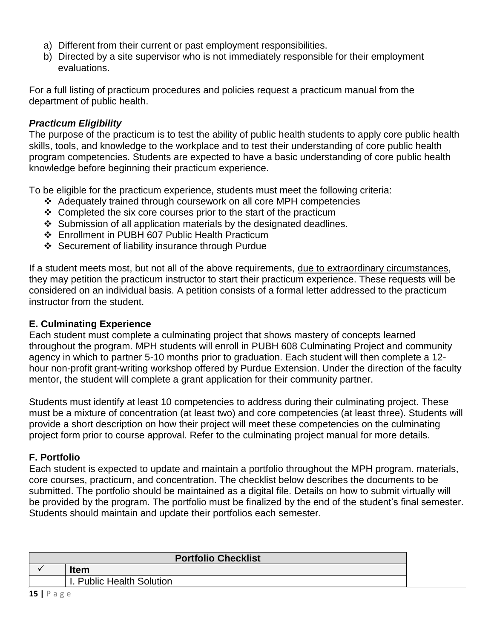- a) Different from their current or past employment responsibilities.
- b) Directed by a site supervisor who is not immediately responsible for their employment evaluations.

For a full listing of practicum procedures and policies request a practicum manual from the department of public health.

# *Practicum Eligibility*

The purpose of the practicum is to test the ability of public health students to apply core public health skills, tools, and knowledge to the workplace and to test their understanding of core public health program competencies. Students are expected to have a basic understanding of core public health knowledge before beginning their practicum experience.

To be eligible for the practicum experience, students must meet the following criteria:

- Adequately trained through coursework on all core MPH competencies
- $\div$  Completed the six core courses prior to the start of the practicum
- $\div$  Submission of all application materials by the designated deadlines.
- Enrollment in PUBH 607 Public Health Practicum
- ❖ Securement of liability insurance through Purdue

If a student meets most, but not all of the above requirements, due to extraordinary circumstances, they may petition the practicum instructor to start their practicum experience. These requests will be considered on an individual basis. A petition consists of a formal letter addressed to the practicum instructor from the student.

# <span id="page-15-0"></span>**E. Culminating Experience**

Each student must complete a culminating project that shows mastery of concepts learned throughout the program. MPH students will enroll in PUBH 608 Culminating Project and community agency in which to partner 5-10 months prior to graduation. Each student will then complete a 12 hour non-profit grant-writing workshop offered by Purdue Extension. Under the direction of the faculty mentor, the student will complete a grant application for their community partner.

Students must identify at least 10 competencies to address during their culminating project. These must be a mixture of concentration (at least two) and core competencies (at least three). Students will provide a short description on how their project will meet these competencies on the culminating project form prior to course approval. Refer to the culminating project manual for more details.

# <span id="page-15-1"></span>**F. Portfolio**

Each student is expected to update and maintain a portfolio throughout the MPH program. materials, core courses, practicum, and concentration. The checklist below describes the documents to be submitted. The portfolio should be maintained as a digital file. Details on how to submit virtually will be provided by the program. The portfolio must be finalized by the end of the student's final semester. Students should maintain and update their portfolios each semester.

| <b>Portfolio Checklist</b> |                           |
|----------------------------|---------------------------|
|                            | <b>Item</b>               |
|                            | I. Public Health Solution |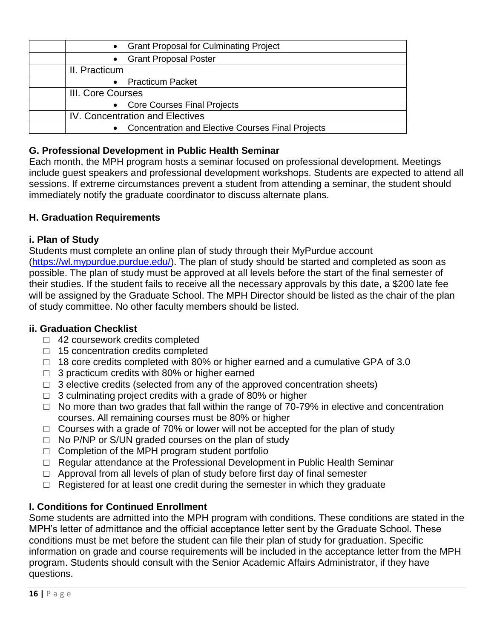| • Grant Proposal for Culminating Project                 |
|----------------------------------------------------------|
| • Grant Proposal Poster                                  |
| II. Practicum                                            |
| <b>Practicum Packet</b>                                  |
| III. Core Courses                                        |
| • Core Courses Final Projects                            |
| IV. Concentration and Electives                          |
| <b>Concentration and Elective Courses Final Projects</b> |

# <span id="page-16-0"></span>**G. Professional Development in Public Health Seminar**

Each month, the MPH program hosts a seminar focused on professional development. Meetings include guest speakers and professional development workshops. Students are expected to attend all sessions. If extreme circumstances prevent a student from attending a seminar, the student should immediately notify the graduate coordinator to discuss alternate plans.

# <span id="page-16-1"></span>**H. Graduation Requirements**

# <span id="page-16-2"></span>**i. Plan of Study**

Students must complete an online plan of study through their MyPurdue account [\(https://wl.mypurdue.purdue.edu/\)](https://www.purdue.edu/apps/account/cas/login?service=https%3A%2F%2Fwl.mypurdue.purdue.edu%2Fc%2Fportal%2Flogin). The plan of study should be started and completed as soon as possible. The plan of study must be approved at all levels before the start of the final semester of their studies. If the student fails to receive all the necessary approvals by this date, a \$200 late fee will be assigned by the Graduate School. The MPH Director should be listed as the chair of the plan of study committee. No other faculty members should be listed.

# <span id="page-16-3"></span>**ii. Graduation Checklist**

- □ 42 coursework credits completed
- □ 15 concentration credits completed
- □ 18 core credits completed with 80% or higher earned and a cumulative GPA of 3.0
- $\Box$  3 practicum credits with 80% or higher earned
- $\Box$  3 elective credits (selected from any of the approved concentration sheets)
- $\Box$  3 culminating project credits with a grade of 80% or higher
- $\Box$  No more than two grades that fall within the range of 70-79% in elective and concentration courses. All remaining courses must be 80% or higher
- $\Box$  Courses with a grade of 70% or lower will not be accepted for the plan of study
- $\Box$  No P/NP or S/UN graded courses on the plan of study
- $\Box$  Completion of the MPH program student portfolio
- □ Regular attendance at the Professional Development in Public Health Seminar
- $\Box$  Approval from all levels of plan of study before first day of final semester
- $\Box$  Registered for at least one credit during the semester in which they graduate

# <span id="page-16-4"></span>**I. Conditions for Continued Enrollment**

Some students are admitted into the MPH program with conditions. These conditions are stated in the MPH's letter of admittance and the official acceptance letter sent by the Graduate School. These conditions must be met before the student can file their plan of study for graduation. Specific information on grade and course requirements will be included in the acceptance letter from the MPH program. Students should consult with the Senior Academic Affairs Administrator, if they have questions.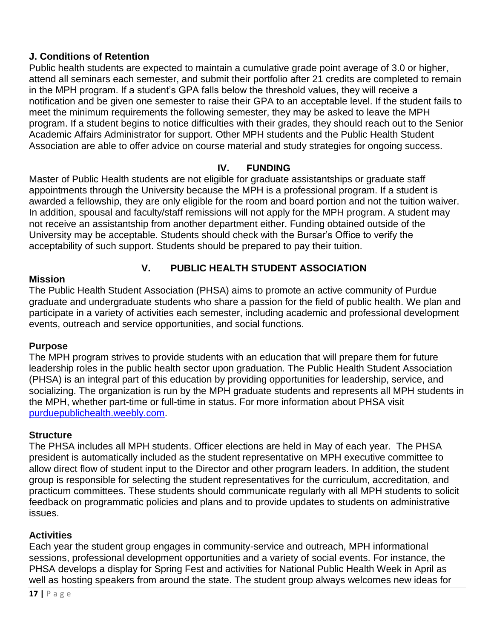# <span id="page-17-0"></span>**J. Conditions of Retention**

Public health students are expected to maintain a cumulative grade point average of 3.0 or higher, attend all seminars each semester, and submit their portfolio after 21 credits are completed to remain in the MPH program. If a student's GPA falls below the threshold values, they will receive a notification and be given one semester to raise their GPA to an acceptable level. If the student fails to meet the minimum requirements the following semester, they may be asked to leave the MPH program. If a student begins to notice difficulties with their grades, they should reach out to the Senior Academic Affairs Administrator for support. Other MPH students and the Public Health Student Association are able to offer advice on course material and study strategies for ongoing success.

# **IV. FUNDING**

<span id="page-17-1"></span>Master of Public Health students are not eligible for graduate assistantships or graduate staff appointments through the University because the MPH is a professional program. If a student is awarded a fellowship, they are only eligible for the room and board portion and not the tuition waiver. In addition, spousal and faculty/staff remissions will not apply for the MPH program. A student may not receive an assistantship from another department either. Funding obtained outside of the University may be acceptable. Students should check with the Bursar's Office to verify the acceptability of such support. Students should be prepared to pay their tuition.

# <span id="page-17-3"></span><span id="page-17-2"></span>**Mission**

# **V. PUBLIC HEALTH STUDENT ASSOCIATION**

The Public Health Student Association (PHSA) aims to promote an active community of Purdue graduate and undergraduate students who share a passion for the field of public health. We plan and participate in a variety of activities each semester, including academic and professional development events, outreach and service opportunities, and social functions.

# <span id="page-17-4"></span>**Purpose**

The MPH program strives to provide students with an education that will prepare them for future leadership roles in the public health sector upon graduation. The Public Health Student Association (PHSA) is an integral part of this education by providing opportunities for leadership, service, and socializing. The organization is run by the MPH graduate students and represents all MPH students in the MPH, whether part-time or full-time in status. For more information about PHSA visit [purduepublichealth.weebly.com.](http://purduepublichealth.weebly.com/)

# <span id="page-17-5"></span>**Structure**

The PHSA includes all MPH students. Officer elections are held in May of each year. The PHSA president is automatically included as the student representative on MPH executive committee to allow direct flow of student input to the Director and other program leaders. In addition, the student group is responsible for selecting the student representatives for the curriculum, accreditation, and practicum committees. These students should communicate regularly with all MPH students to solicit feedback on programmatic policies and plans and to provide updates to students on administrative issues.

# <span id="page-17-6"></span>**Activities**

Each year the student group engages in community-service and outreach, MPH informational sessions, professional development opportunities and a variety of social events. For instance, the PHSA develops a display for Spring Fest and activities for National Public Health Week in April as well as hosting speakers from around the state. The student group always welcomes new ideas for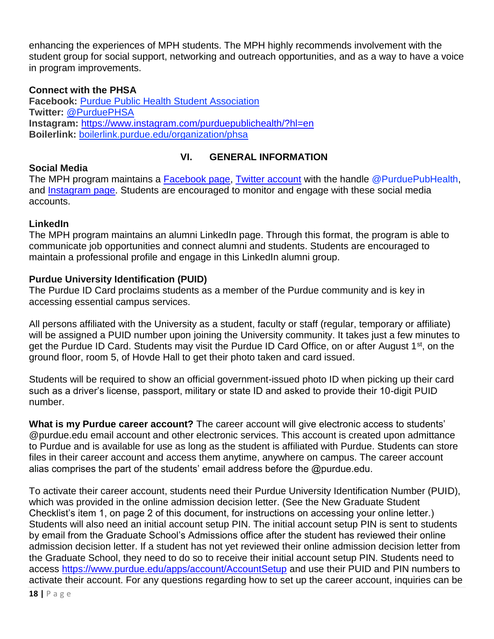enhancing the experiences of MPH students. The MPH highly recommends involvement with the student group for social support, networking and outreach opportunities, and as a way to have a voice in program improvements.

# <span id="page-18-0"></span>**Connect with the PHSA**

**Facebook:** [Purdue Public Health Student Association](https://www.facebook.com/PurduePHSA/) **Twitter:** [@PurduePHSA](https://twitter.com/purduephsa) **Instagram:** <https://www.instagram.com/purduepublichealth/?hl=en> **Boilerlink:** [boilerlink.purdue.edu/organization/phsa](https://boilerlink.purdue.edu/organization/phsa)

# **VI. GENERAL INFORMATION**

#### <span id="page-18-2"></span><span id="page-18-1"></span>**Social Media**

The MPH program maintains a **Facebook page, [Twitter account](https://twitter.com/PurduePubHealth)** with the handle @PurduePubHealth, and **Instagram page**. Students are encouraged to monitor and engage with these social media accounts.

## <span id="page-18-3"></span>**LinkedIn**

The MPH program maintains an alumni LinkedIn page. Through this format, the program is able to communicate job opportunities and connect alumni and students. Students are encouraged to maintain a professional profile and engage in this LinkedIn alumni group.

## <span id="page-18-4"></span>**Purdue University Identification (PUID)**

The Purdue ID Card proclaims students as a member of the Purdue community and is key in accessing essential campus services.

All persons affiliated with the University as a student, faculty or staff (regular, temporary or affiliate) will be assigned a PUID number upon joining the University community. It takes just a few minutes to get the Purdue ID Card. Students may visit the Purdue ID Card Office, on or after August 1<sup>st</sup>, on the ground floor, room 5, of Hovde Hall to get their photo taken and card issued.

Students will be required to show an official government-issued photo ID when picking up their card such as a driver's license, passport, military or state ID and asked to provide their 10-digit PUID number.

**What is my Purdue career account?** The career account will give electronic access to students' @purdue.edu email account and other electronic services. This account is created upon admittance to Purdue and is available for use as long as the student is affiliated with Purdue. Students can store files in their career account and access them anytime, anywhere on campus. The career account alias comprises the part of the students' email address before the @purdue.edu.

To activate their career account, students need their Purdue University Identification Number (PUID), which was provided in the online admission decision letter. (See the New Graduate Student Checklist's item 1, on page 2 of this document, for instructions on accessing your online letter.) Students will also need an initial account setup PIN. The initial account setup PIN is sent to students by email from the Graduate School's Admissions office after the student has reviewed their online admission decision letter. If a student has not yet reviewed their online admission decision letter from the Graduate School, they need to do so to receive their initial account setup PIN. Students need to access<https://www.purdue.edu/apps/account/AccountSetup> and use their PUID and PIN numbers to activate their account. For any questions regarding how to set up the career account, inquiries can be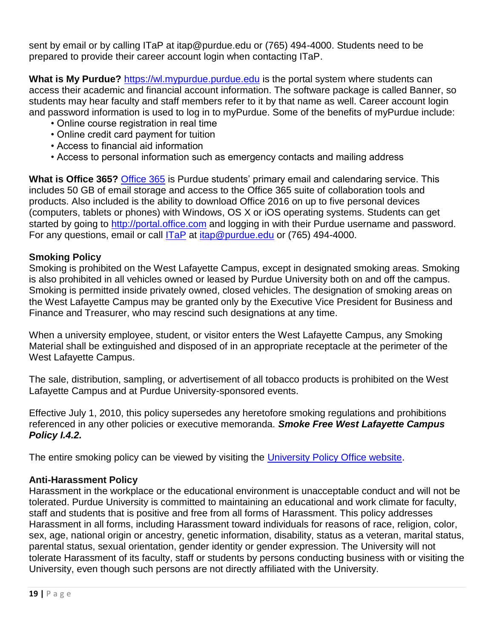sent by email or by calling ITaP at itap@purdue.edu or (765) 494-4000. Students need to be prepared to provide their career account login when contacting ITaP.

**What is My Purdue?** [https://wl.mypurdue.purdue.edu](https://wl.mypurdue.purdue.edu/) is the portal system where students can access their academic and financial account information. The software package is called Banner, so students may hear faculty and staff members refer to it by that name as well. Career account login and password information is used to log in to myPurdue. Some of the benefits of myPurdue include:

- Online course registration in real time
- Online credit card payment for tuition
- Access to financial aid information
- Access to personal information such as emergency contacts and mailing address

**What is Office 365?** [Office 365](https://www.itap.purdue.edu/shopping/software/product/office365.html) is Purdue students' primary email and calendaring service. This includes 50 GB of email storage and access to the Office 365 suite of collaboration tools and products. Also included is the ability to download Office 2016 on up to five personal devices (computers, tablets or phones) with Windows, OS X or iOS operating systems. Students can get started by going to [http://portal.office.com](http://portal.office.com/) and logging in with their Purdue username and password. For any questions, email or call **[ITaP](http://www.itap.purdue.edu/help/index.html)** at *itap@purdue.edu* or (765) 494-4000.

## <span id="page-19-0"></span>**Smoking Policy**

Smoking is prohibited on the West Lafayette Campus, except in designated smoking areas. Smoking is also prohibited in all vehicles owned or leased by Purdue University both on and off the campus. Smoking is permitted inside privately owned, closed vehicles. The designation of smoking areas on the West Lafayette Campus may be granted only by the Executive Vice President for Business and Finance and Treasurer, who may rescind such designations at any time.

When a university employee, student, or visitor enters the West Lafayette Campus, any Smoking Material shall be extinguished and disposed of in an appropriate receptacle at the perimeter of the West Lafayette Campus.

The sale, distribution, sampling, or advertisement of all tobacco products is prohibited on the West Lafayette Campus and at Purdue University-sponsored events.

Effective July 1, 2010, this policy supersedes any heretofore smoking regulations and prohibitions referenced in any other policies or executive memoranda. *Smoke Free West Lafayette Campus Policy I.4.2.* 

The entire smoking policy can be viewed by visiting the [University Policy Office website.](http://www.purdue.edu/policies/index.html)

# <span id="page-19-1"></span>**Anti-Harassment Policy**

Harassment in the workplace or the educational environment is unacceptable conduct and will not be tolerated. Purdue University is committed to maintaining an educational and work climate for faculty, staff and students that is positive and free from all forms of Harassment. This policy addresses Harassment in all forms, including Harassment toward individuals for reasons of race, religion, color, sex, age, national origin or ancestry, genetic information, disability, status as a veteran, marital status, parental status, sexual orientation, gender identity or gender expression. The University will not tolerate Harassment of its faculty, staff or students by persons conducting business with or visiting the University, even though such persons are not directly affiliated with the University.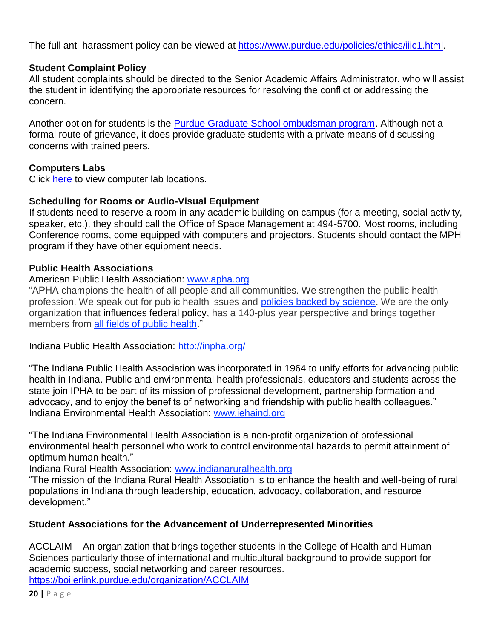The full anti-harassment policy can be viewed at [https://www.purdue.edu/policies/ethics/iiic1.html.](https://www.purdue.edu/policies/ethics/iiic1.html)

# <span id="page-20-0"></span>**Student Complaint Policy**

All student complaints should be directed to the Senior Academic Affairs Administrator, who will assist the student in identifying the appropriate resources for resolving the conflict or addressing the concern.

Another option for students is the **Purdue Graduate School ombudsman program**. Although not a formal route of grievance, it does provide graduate students with a private means of discussing concerns with trained peers.

## <span id="page-20-1"></span>**Computers Labs**

Click [here](https://lslab.ics.purdue.edu/icsWeb/LabMap) to view computer lab locations.

## <span id="page-20-2"></span>**Scheduling for Rooms or Audio-Visual Equipment**

If students need to reserve a room in any academic building on campus (for a meeting, social activity, speaker, etc.), they should call the Office of Space Management at 494-5700. Most rooms, including Conference rooms, come equipped with computers and projectors. Students should contact the MPH program if they have other equipment needs.

## <span id="page-20-3"></span>**Public Health Associations**

# <span id="page-20-4"></span>American Public Health Association: [www.apha.org](http://www.apha.org/)

"APHA champions the health of all people and all communities. We strengthen the public health profession. We speak out for public health issues and [policies backed by science.](https://www.apha.org/policies-and-advocacy/public-health-policy-statements) We are the only organization that influences federal policy, has a 140-plus year perspective and brings together members from [all fields of public health.](https://www.apha.org/apha-communities/member-sections)"

<span id="page-20-5"></span>Indiana Public Health Association:<http://inpha.org/>

"The Indiana Public Health Association was incorporated in 1964 to unify efforts for advancing public health in Indiana. Public and environmental health professionals, educators and students across the state join IPHA to be part of its mission of professional development, partnership formation and advocacy, and to enjoy the benefits of networking and friendship with public health colleagues." Indiana Environmental Health Association: [www.iehaind.org](http://www.iehaind.org/)

<span id="page-20-6"></span>"The Indiana Environmental Health Association is a non-profit organization of professional environmental health personnel who work to control environmental hazards to permit attainment of optimum human health."

<span id="page-20-7"></span>Indiana Rural Health Association: [www.indianaruralhealth.org](http://www.indianaruralhealth.org/)

"The mission of the Indiana Rural Health Association is to enhance the health and well-being of rural populations in Indiana through leadership, education, advocacy, collaboration, and resource development."

# <span id="page-20-8"></span>**Student Associations for the Advancement of Underrepresented Minorities**

<span id="page-20-9"></span>ACCLAIM – An organization that brings together students in the College of Health and Human Sciences particularly those of international and multicultural background to provide support for academic success, social networking and career resources. <https://boilerlink.purdue.edu/organization/ACCLAIM>